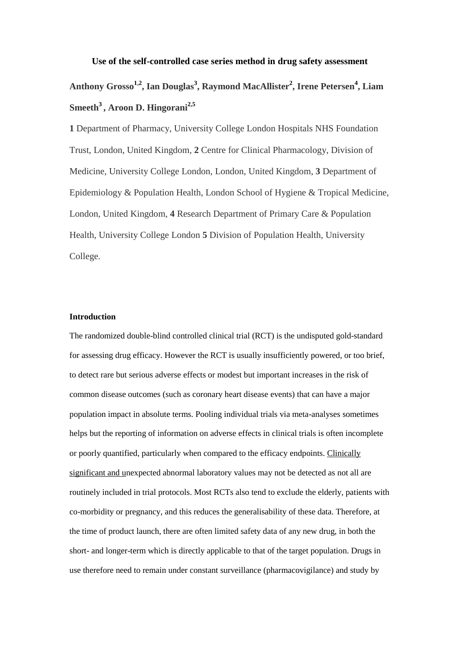# **Use of the self-controlled case series method in drug safety assessment Anthony Grosso[1,](http://www.plosone.org/article/info%3Adoi%2F10.1371%2Fjournal.pone.0004720#aff1#aff1)[2](http://www.plosone.org/article/info%3Adoi%2F10.1371%2Fjournal.pone.0004720#aff2#aff2) , Ian Douglas[3](http://www.plosone.org/article/info%3Adoi%2F10.1371%2Fjournal.pone.0004720#aff3#aff3) , Raymond MacAllister[2](http://www.plosone.org/article/info%3Adoi%2F10.1371%2Fjournal.pone.0004720#aff2#aff2) , Irene Petersen[4](http://www.plosone.org/article/info%3Adoi%2F10.1371%2Fjournal.pone.0004720#aff3#aff3) , Liam Smeeth[3](http://www.plosone.org/article/info%3Adoi%2F10.1371%2Fjournal.pone.0004720#aff3#aff3) , Aroon D. Hingorani[2](http://www.plosone.org/article/info%3Adoi%2F10.1371%2Fjournal.pone.0004720#aff2#aff2)[,5](http://www.plosone.org/article/info%3Adoi%2F10.1371%2Fjournal.pone.0004720#aff4#aff4)**

**1** Department of Pharmacy, University College London Hospitals NHS Foundation Trust, London, United Kingdom, **2** Centre for Clinical Pharmacology, Division of Medicine, University College London, London, United Kingdom, **3** Department of Epidemiology & Population Health, London School of Hygiene & Tropical Medicine, London, United Kingdom, **4** Research Department of Primary Care & Population Health, University College London **5** Division of Population Health, University College.

### **Introduction**

The randomized double-blind controlled clinical trial (RCT) is the undisputed gold-standard for assessing drug efficacy. However the RCT is usually insufficiently powered, or too brief, to detect rare but serious adverse effects or modest but important increases in the risk of common disease outcomes (such as coronary heart disease events) that can have a major population impact in absolute terms. Pooling individual trials via meta-analyses sometimes helps but the reporting of information on adverse effects in clinical trials is often incomplete or poorly quantified, particularly when compared to the efficacy endpoints. Clinically significant and unexpected abnormal laboratory values may not be detected as not all are routinely included in trial protocols. Most RCTs also tend to exclude the elderly, patients with co-morbidity or pregnancy, and this reduces the generalisability of these data. Therefore, at the time of product launch, there are often limited safety data of any new drug, in both the short- and longer-term which is directly applicable to that of the target population. Drugs in use therefore need to remain under constant surveillance (pharmacovigilance) and study by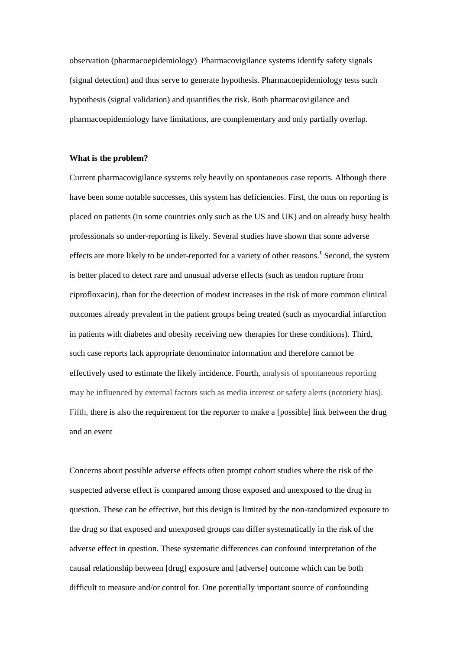observation (pharmacoepidemiology) Pharmacovigilance systems identify safety signals (signal detection) and thus serve to generate hypothesis. Pharmacoepidemiology tests such hypothesis (signal validation) and quantifies the risk. Both pharmacovigilance and pharmacoepidemiology have limitations, are complementary and only partially overlap.

#### **What is the problem?**

Current pharmacovigilance systems rely heavily on spontaneous case reports. Although there have been some notable successes, this system has deficiencies. First, the onus on reporting is placed on patients (in some countries only such as the US and UK) and on already busy health professionals so under-reporting is likely. Several studies have shown that some adverse effects are more likely to be under-reported for a variety of other reasons.**<sup>1</sup>** Second, the system is better placed to detect rare and unusual adverse effects (such as tendon rupture from ciprofloxacin), than for the detection of modest increases in the risk of more common clinical outcomes already prevalent in the patient groups being treated (such as myocardial infarction in patients with diabetes and obesity receiving new therapies for these conditions). Third, such case reports lack appropriate denominator information and therefore cannot be effectively used to estimate the likely incidence. Fourth, analysis of spontaneous reporting may be influenced by external factors such as media interest or safety alerts (notoriety bias). Fifth, there is also the requirement for the reporter to make a [possible] link between the drug and an event

Concerns about possible adverse effects often prompt cohort studies where the risk of the suspected adverse effect is compared among those exposed and unexposed to the drug in question. These can be effective, but this design is limited by the non-randomized exposure to the drug so that exposed and unexposed groups can differ systematically in the risk of the adverse effect in question. These systematic differences can confound interpretation of the causal relationship between [drug] exposure and [adverse] outcome which can be both difficult to measure and/or control for. One potentially important source of confounding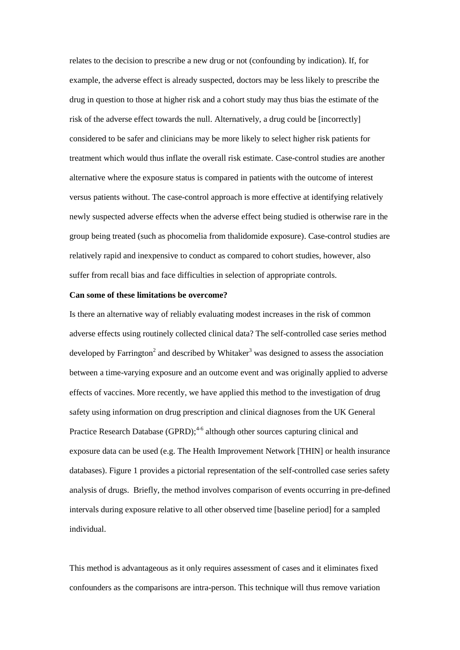relates to the decision to prescribe a new drug or not (confounding by indication). If, for example, the adverse effect is already suspected, doctors may be less likely to prescribe the drug in question to those at higher risk and a cohort study may thus bias the estimate of the risk of the adverse effect towards the null. Alternatively, a drug could be [incorrectly] considered to be safer and clinicians may be more likely to select higher risk patients for treatment which would thus inflate the overall risk estimate. Case-control studies are another alternative where the exposure status is compared in patients with the outcome of interest versus patients without. The case-control approach is more effective at identifying relatively newly suspected adverse effects when the adverse effect being studied is otherwise rare in the group being treated (such as phocomelia from thalidomide exposure). Case-control studies are relatively rapid and inexpensive to conduct as compared to cohort studies, however, also suffer from recall bias and face difficulties in selection of appropriate controls.

#### **Can some of these limitations be overcome?**

Is there an alternative way of reliably evaluating modest increases in the risk of common adverse effects using routinely collected clinical data? The self-controlled case series method developed by Farrington<sup>2</sup> and described by Whitaker<sup>3</sup> was designed to assess the association between a time-varying exposure and an outcome event and was originally applied to adverse effects of vaccines. More recently, we have applied this method to the investigation of drug safety using information on drug prescription and clinical diagnoses from the UK General Practice Research Database (GPRD);<sup>4-6</sup> although other sources capturing clinical and exposure data can be used (e.g. The Health Improvement Network [THIN] or health insurance databases). Figure 1 provides a pictorial representation of the self-controlled case series safety analysis of drugs. Briefly, the method involves comparison of events occurring in pre-defined intervals during exposure relative to all other observed time [baseline period] for a sampled individual.

This method is advantageous as it only requires assessment of cases and it eliminates fixed confounders as the comparisons are intra-person. This technique will thus remove variation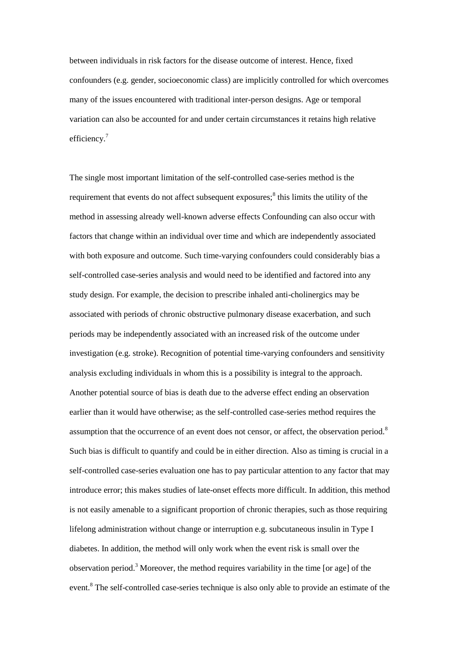between individuals in risk factors for the disease outcome of interest. Hence, fixed confounders (e.g. gender, socioeconomic class) are implicitly controlled for which overcomes many of the issues encountered with traditional inter-person designs. Age or temporal variation can also be accounted for and under certain circumstances it retains high relative efficiency.<sup>7</sup>

The single most important limitation of the self-controlled case-series method is the requirement that events do not affect subsequent exposures;<sup>8</sup> this limits the utility of the method in assessing already well-known adverse effects Confounding can also occur with factors that change within an individual over time and which are independently associated with both exposure and outcome. Such time-varying confounders could considerably bias a self-controlled case-series analysis and would need to be identified and factored into any study design. For example, the decision to prescribe inhaled anti-cholinergics may be associated with periods of chronic obstructive pulmonary disease exacerbation, and such periods may be independently associated with an increased risk of the outcome under investigation (e.g. stroke). Recognition of potential time-varying confounders and sensitivity analysis excluding individuals in whom this is a possibility is integral to the approach. Another potential source of bias is death due to the adverse effect ending an observation earlier than it would have otherwise; as the self-controlled case-series method requires the assumption that the occurrence of an event does not censor, or affect, the observation period.<sup>8</sup> Such bias is difficult to quantify and could be in either direction. Also as timing is crucial in a self-controlled case-series evaluation one has to pay particular attention to any factor that may introduce error; this makes studies of late-onset effects more difficult. In addition, this method is not easily amenable to a significant proportion of chronic therapies, such as those requiring lifelong administration without change or interruption e.g. subcutaneous insulin in Type I diabetes. In addition, the method will only work when the event risk is small over the observation period.<sup>3</sup> Moreover, the method requires variability in the time [or age] of the event.<sup>8</sup> The self-controlled case-series technique is also only able to provide an estimate of the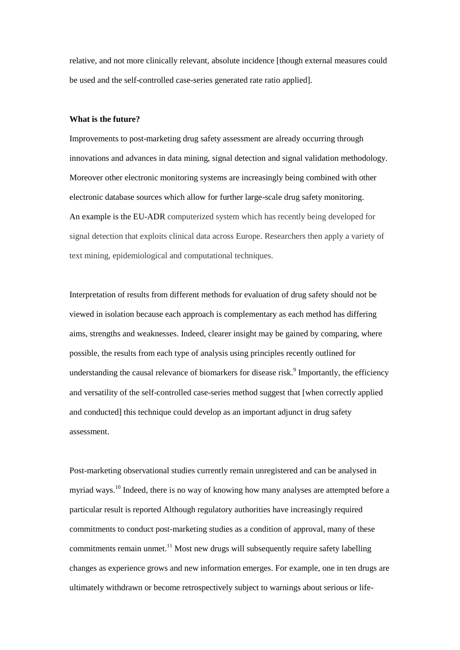relative, and not more clinically relevant, absolute incidence [though external measures could be used and the self-controlled case-series generated rate ratio applied].

#### **What is the future?**

Improvements to post-marketing drug safety assessment are already occurring through innovations and advances in data mining, signal detection and signal validation methodology. Moreover other electronic monitoring systems are increasingly being combined with other electronic database sources which allow for further large-scale drug safety monitoring. An example is the EU-ADR computerized system which has recently being developed for signal detection that exploits clinical data across Europe. Researchers then apply a variety of text mining, epidemiological and computational techniques.

Interpretation of results from different methods for evaluation of drug safety should not be viewed in isolation because each approach is complementary as each method has differing aims, strengths and weaknesses. Indeed, clearer insight may be gained by comparing, where possible, the results from each type of analysis using principles recently outlined for understanding the causal relevance of biomarkers for disease risk.<sup>9</sup> Importantly, the efficiency and versatility of the self-controlled case-series method suggest that [when correctly applied and conducted] this technique could develop as an important adjunct in drug safety assessment.

Post-marketing observational studies currently remain unregistered and can be analysed in myriad ways.<sup>10</sup> Indeed, there is no way of knowing how many analyses are attempted before a particular result is reported Although regulatory authorities have increasingly required commitments to conduct post-marketing studies as a condition of approval, many of these commitments remain unmet.<sup>11</sup> Most new drugs will subsequently require safety labelling changes as experience grows and new information emerges. For example, one in ten drugs are ultimately withdrawn or become retrospectively subject to warnings about serious or life-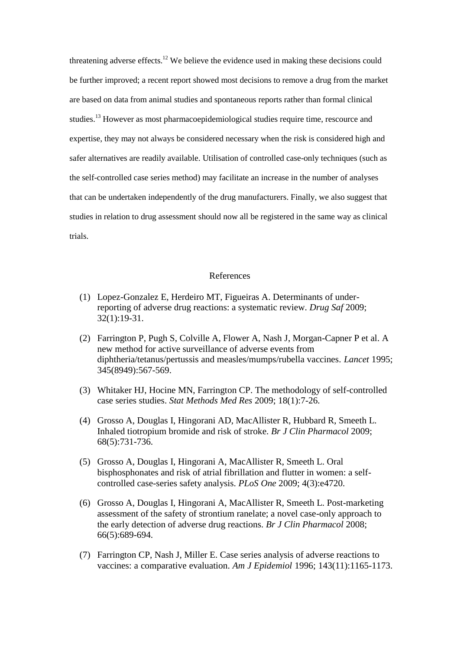threatening adverse effects.<sup>12</sup> We believe the evidence used in making these decisions could be further improved; a recent report showed most decisions to remove a drug from the market are based on data from animal studies and spontaneous reports rather than formal clinical studies.<sup>13</sup> However as most pharmacoepidemiological studies require time, rescource and expertise, they may not always be considered necessary when the risk is considered high and safer alternatives are readily available. Utilisation of controlled case-only techniques (such as the self-controlled case series method) may facilitate an increase in the number of analyses that can be undertaken independently of the drug manufacturers. Finally, we also suggest that studies in relation to drug assessment should now all be registered in the same way as clinical trials.

## References

- (1) Lopez-Gonzalez E, Herdeiro MT, Figueiras A. Determinants of underreporting of adverse drug reactions: a systematic review. *Drug Saf* 2009; 32(1):19-31.
- (2) Farrington P, Pugh S, Colville A, Flower A, Nash J, Morgan-Capner P et al. A new method for active surveillance of adverse events from diphtheria/tetanus/pertussis and measles/mumps/rubella vaccines. *Lancet* 1995; 345(8949):567-569.
- (3) Whitaker HJ, Hocine MN, Farrington CP. The methodology of self-controlled case series studies. *Stat Methods Med Res* 2009; 18(1):7-26.
- (4) Grosso A, Douglas I, Hingorani AD, MacAllister R, Hubbard R, Smeeth L. Inhaled tiotropium bromide and risk of stroke. *Br J Clin Pharmacol* 2009; 68(5):731-736.
- (5) Grosso A, Douglas I, Hingorani A, MacAllister R, Smeeth L. Oral bisphosphonates and risk of atrial fibrillation and flutter in women: a selfcontrolled case-series safety analysis. *PLoS One* 2009; 4(3):e4720.
- (6) Grosso A, Douglas I, Hingorani A, MacAllister R, Smeeth L. Post-marketing assessment of the safety of strontium ranelate; a novel case-only approach to the early detection of adverse drug reactions. *Br J Clin Pharmacol* 2008; 66(5):689-694.
- (7) Farrington CP, Nash J, Miller E. Case series analysis of adverse reactions to vaccines: a comparative evaluation. *Am J Epidemiol* 1996; 143(11):1165-1173.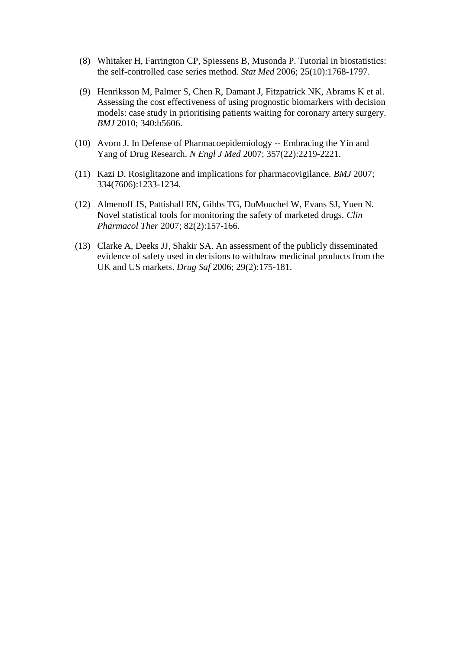- (8) Whitaker H, Farrington CP, Spiessens B, Musonda P. Tutorial in biostatistics: the self-controlled case series method. *Stat Med* 2006; 25(10):1768-1797.
- (9) Henriksson M, Palmer S, Chen R, Damant J, Fitzpatrick NK, Abrams K et al. Assessing the cost effectiveness of using prognostic biomarkers with decision models: case study in prioritising patients waiting for coronary artery surgery. *BMJ* 2010; 340:b5606.
- (10) Avorn J. In Defense of Pharmacoepidemiology -- Embracing the Yin and Yang of Drug Research. *N Engl J Med* 2007; 357(22):2219-2221.
- (11) Kazi D. Rosiglitazone and implications for pharmacovigilance. *BMJ* 2007; 334(7606):1233-1234.
- (12) Almenoff JS, Pattishall EN, Gibbs TG, DuMouchel W, Evans SJ, Yuen N. Novel statistical tools for monitoring the safety of marketed drugs. *Clin Pharmacol Ther* 2007; 82(2):157-166.
- (13) Clarke A, Deeks JJ, Shakir SA. An assessment of the publicly disseminated evidence of safety used in decisions to withdraw medicinal products from the UK and US markets. *Drug Saf* 2006; 29(2):175-181.